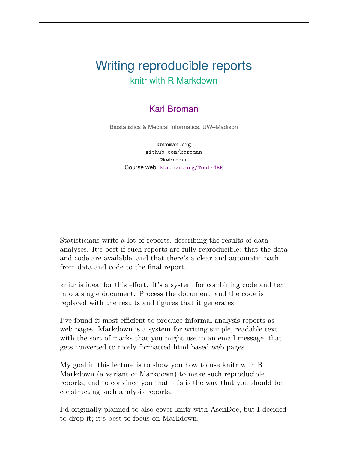#### Writing reproducible reports knitr with R Markdown

#### Karl Broman

Biostatistics & Medical Informatics, UW–Madison

kbroman.org github.com/kbroman @kwbroman Course web: kbroman.org/Tools4RR

Statisticians write a lot of reports, describing the results of data analyses. It's best if such reports are fully reproducible: that the data and code are available, and that there's a clear and automatic path from data and code to the final report.

knitr is ideal for this effort. It's a system for combining code and text into a single document. Process the document, and the code is replaced with the results and figures that it generates.

I've found it most efficient to produce informal analysis reports as web pages. Markdown is a system for writing simple, readable text, with the sort of marks that you might use in an email message, that gets converted to nicely formatted html-based web pages.

My goal in this lecture is to show you how to use knitr with R Markdown (a variant of Markdown) to make such reproducible reports, and to convince you that this is the way that you should be constructing such analysis reports.

I'd originally planned to also cover knitr with AsciiDoc, but I decided to drop it; it's best to focus on Markdown.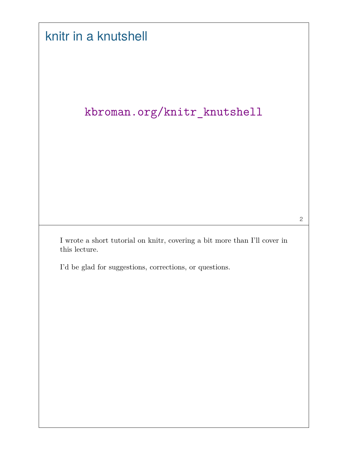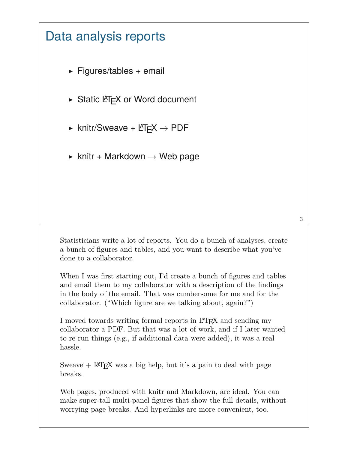#### Data analysis reports

- $\triangleright$  Figures/tables + email
- $\triangleright$  Static LAT<sub>E</sub>X or Word document
- $\triangleright$  knitr/Sweave + LAT<sub>E</sub>X  $\rightarrow$  PDF
- $\triangleright$  knitr + Markdown  $\rightarrow$  Web page

Statisticians write a lot of reports. You do a bunch of analyses, create a bunch of figures and tables, and you want to describe what you've done to a collaborator.

When I was first starting out, I'd create a bunch of figures and tables and email them to my collaborator with a description of the findings in the body of the email. That was cumbersome for me and for the collaborator. ("Which figure are we talking about, again?")

I moved towards writing formal reports in LAT<sub>EX</sub> and sending my collaborator a PDF. But that was a lot of work, and if I later wanted to re-run things (e.g., if additional data were added), it was a real hassle.

Sweave  $+$  LAT<sub>E</sub>X was a big help, but it's a pain to deal with page breaks.

Web pages, produced with knitr and Markdown, are ideal. You can make super-tall multi-panel figures that show the full details, without worrying page breaks. And hyperlinks are more convenient, too.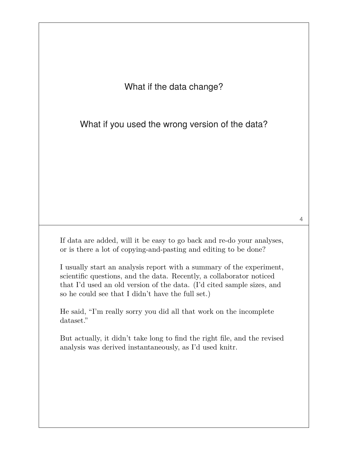What if the data change?

What if you used the wrong version of the data?

If data are added, will it be easy to go back and re-do your analyses, or is there a lot of copying-and-pasting and editing to be done?

I usually start an analysis report with a summary of the experiment, scientific questions, and the data. Recently, a collaborator noticed that I'd used an old version of the data. (I'd cited sample sizes, and so he could see that I didn't have the full set.)

He said, "I'm really sorry you did all that work on the incomplete dataset."

But actually, it didn't take long to find the right file, and the revised analysis was derived instantaneously, as I'd used knitr.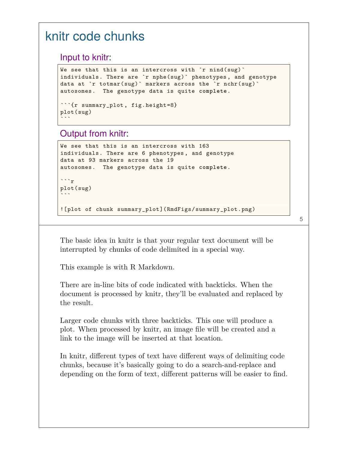## knitr code chunks

Input to knitr:

```
We see that this is an intercross with `r nind(sug)`
individuals. There are `r nphe(sug)` phenotypes , and genotype
data at `r totmar(sug)` markers across the `r nchr(sug)`
autosomes. The genotype data is quite complete.
```{r summary_plot , fig.height=8}
plot(sug)
```
#### Output from knitr:

 $\ddot{\phantom{0}}$ 

```
We see that this is an intercross with 163
individuals. There are 6 phenotypes , and genotype
data at 93 markers across the 19
autosomes. The genotype data is quite complete.
```r
plot(sug)
\sim
```
![plot of chunk summary\_plot](RmdFigs/summary\_plot.png)

5

The basic idea in knitr is that your regular text document will be interrupted by chunks of code delimited in a special way.

This example is with R Markdown.

There are in-line bits of code indicated with backticks. When the document is processed by knitr, they'll be evaluated and replaced by the result.

Larger code chunks with three backticks. This one will produce a plot. When processed by knitr, an image file will be created and a link to the image will be inserted at that location.

In knitr, different types of text have different ways of delimiting code chunks, because it's basically going to do a search-and-replace and depending on the form of text, different patterns will be easier to find.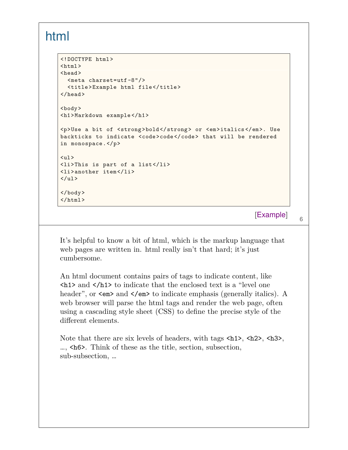#### html

```
<!DOCTYPE html>
<html><head>
  <meta charset=utf-8"/>
 <title>Example html file</title>
</head>
<body>
<h1>Markdown example </h1>
<p>Use a bit of <strong>bold</strong> or <em>italics </em>. Use
backticks to indicate <code>code</code> that will be rendered
in monospace.</p>
\langleul>
<li>This is part of a list</li>
<li>another item</li>
\langle/ul>
</body>
\langle/html>
```
[Example]

6

It's helpful to know a bit of html, which is the markup language that web pages are written in. html really isn't that hard; it's just cumbersome.

An html document contains pairs of tags to indicate content, like  $\langle h1 \rangle$  and  $\langle h1 \rangle$  to indicate that the enclosed text is a "level one header", or  $\leq \text{em}\geq$  and  $\leq/\text{em}\geq$  to indicate emphasis (generally italics). A web browser will parse the html tags and render the web page, often using a cascading style sheet (CSS) to define the precise style of the different elements.

Note that there are six levels of headers, with tags  $\langle h1 \rangle$ ,  $\langle h2 \rangle$ ,  $\langle h3 \rangle$ , …, <h6>. Think of these as the title, section, subsection, sub-subsection, …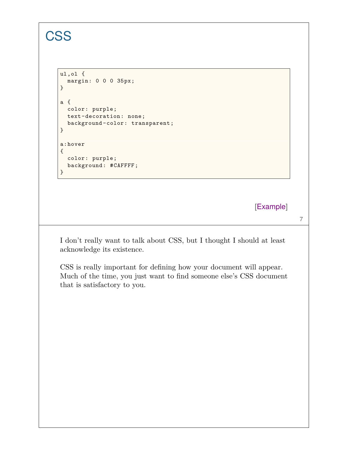## **CSS**

```
ul,ol {
  margin: 0 0 0 35px;
}
a {
 color: purple;
 text-decoration: none;
 background -color: transparent;
}
a:hover
{
  color: purple;
  background: #CAFFFF;
}
```
[Example]

7

I don't really want to talk about CSS, but I thought I should at least acknowledge its existence.

CSS is really important for defining how your document will appear. Much of the time, you just want to find someone else's CSS document that is satisfactory to you.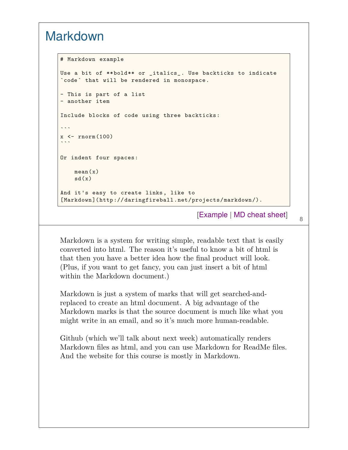## Markdown

```
# Markdown example
Use a bit of **bold** or _italics_. Use backticks to indicate
`code` that will be rendered in monospace.
- This is part of a list
- another item
Include blocks of code using three backticks:
\sim .
x \leftarrow \text{rnorm}(100)\ddot{\phantom{0}}Or indent four spaces:
    mean(x)
    sd(x)And it's easy to create links, like to
[Markdown](http://daringfireball.net/projects/markdown/).
```
[Example | MD cheat sheet]

8

Markdown is a system for writing simple, readable text that is easily converted into html. The reason it's useful to know a bit of html is that then you have a better idea how the final product will look. (Plus, if you want to get fancy, you can just insert a bit of html within the Markdown document.)

Markdown is just a system of marks that will get searched-andreplaced to create an html document. A big advantage of the Markdown marks is that the source document is much like what you might write in an email, and so it's much more human-readable.

Github (which we'll talk about next week) automatically renders Markdown files as html, and you can use Markdown for ReadMe files. And the website for this course is mostly in Markdown.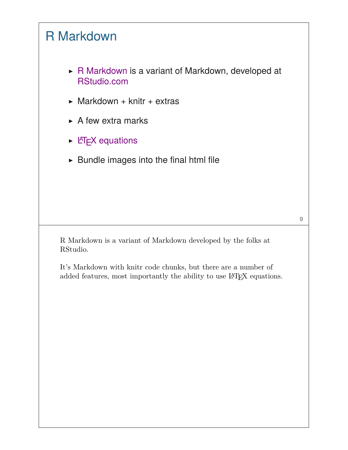## R Markdown

- ▶ R Markdown is a variant of Markdown, developed at RStudio.com
- $\triangleright$  Markdown + knitr + extras
- $\triangleright$  A few extra marks
- $\triangleright$  LAT<sub>E</sub>X equations
- $\blacktriangleright$  Bundle images into the final html file

R Markdown is a variant of Markdown developed by the folks at RStudio.

It's Markdown with knitr code chunks, but there are a number of added features, most importantly the ability to use IATEX equations.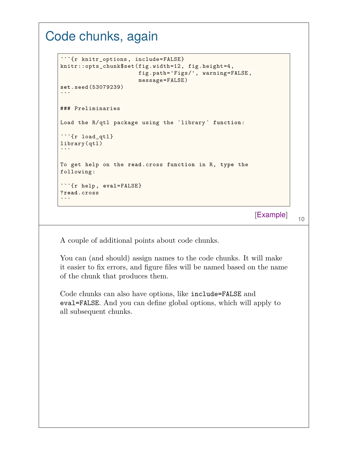## Code chunks, again

```
```{r knitr_options , include=FALSE}
knitr::opts_chunk$set(fig.width=12, fig.height=4,
                         fig.path='Figs/', warning=FALSE,
                         message=FALSE)
set.seed(53079239)
\ddot{\phantom{0}}### Preliminaries
Load the R/qtl package using the `library ` function:
```{r load_qtl}
library(qtl)
\ddot{\phantom{0}}To get help on the read.cross function in R, type the
following:
```{r help, eval=FALSE}
?read.cross
\ddot{\phantom{0}}
```
[Example]

10

A couple of additional points about code chunks.

You can (and should) assign names to the code chunks. It will make it easier to fix errors, and figure files will be named based on the name of the chunk that produces them.

Code chunks can also have options, like include=FALSE and eval=FALSE. And you can define global options, which will apply to all subsequent chunks.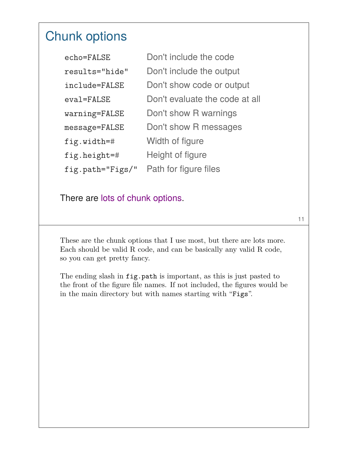## Chunk options

| echo=FALSE       | Don't include the code         |
|------------------|--------------------------------|
| results="hide"   | Don't include the output       |
| include=FALSE    | Don't show code or output      |
| eval=FALSE       | Don't evaluate the code at all |
| warning=FALSE    | Don't show R warnings          |
| message=FALSE    | Don't show R messages          |
| fig.width=#      | Width of figure                |
| fig.height=#     | Height of figure               |
| fig.path="Figs/" | Path for figure files          |

There are lots of chunk options.

These are the chunk options that I use most, but there are lots more. Each should be valid R code, and can be basically any valid R code, so you can get pretty fancy.

11

The ending slash in fig.path is important, as this is just pasted to the front of the figure file names. If not included, the figures would be in the main directory but with names starting with "Figs".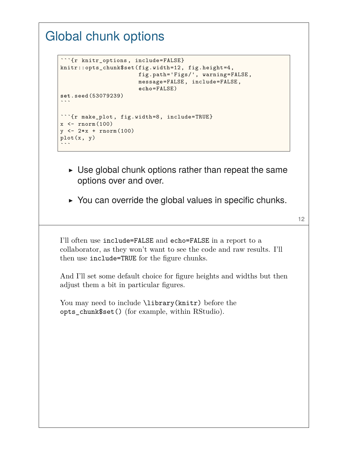## Global chunk options

```
```{r knitr_options , include=FALSE}
knitr::opts_chunk$set(fig.width=12, fig.height=4,
                          fig.path='Figs/', warning=FALSE,
                          message=FALSE, include=FALSE,
                          echo=FALSE)
set.seed(53079239)
\ddot{\phantom{0}}```{r make_plot , fig.width=8, include=TRUE}
x \leftarrow \text{rnorm}(100)y \le -2*x + \text{norm}(100)plot(x, y)\ddot{\phantom{0}}
```
- $\triangleright$  Use global chunk options rather than repeat the same options over and over.
- $\triangleright$  You can override the global values in specific chunks.

12

I'll often use include=FALSE and echo=FALSE in a report to a collaborator, as they won't want to see the code and raw results. I'll then use include=TRUE for the figure chunks.

And I'll set some default choice for figure heights and widths but then adjust them a bit in particular figures.

You may need to include **\library(knitr)** before the opts\_chunk\$set() (for example, within RStudio).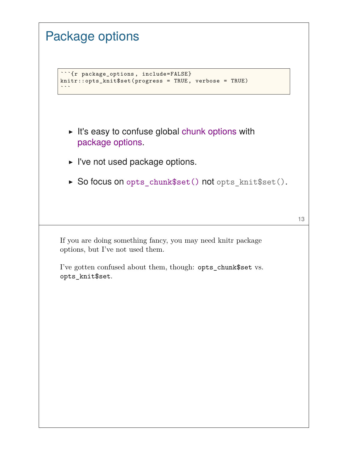| <b>Package options</b>                                                                                 |    |
|--------------------------------------------------------------------------------------------------------|----|
| "" {r package_options, include=FALSE}<br>$knitr::opts_knit$set (progress = TRUE, verbose = TRUE)$      |    |
| It's easy to confuse global chunk options with<br>package options.<br>► I've not used package options. |    |
| ► So focus on opts_chunk\$set() not opts_knit\$set().                                                  |    |
|                                                                                                        | 13 |
| If you are doing something fancy, you may need knitr package<br>options, but I've not used them.       |    |
| I've gotten confused about them, though: opts_chunk\$set vs.<br>opts_knit\$set.                        |    |
|                                                                                                        |    |
|                                                                                                        |    |
|                                                                                                        |    |
|                                                                                                        |    |
|                                                                                                        |    |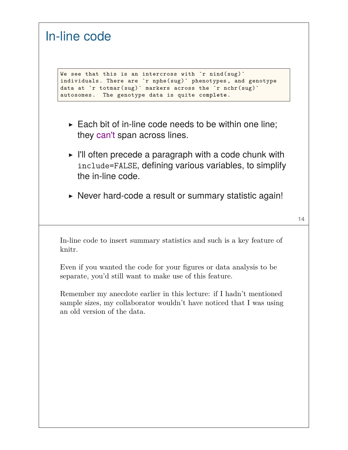| In-line code                                                                                                                                                                                                                                      |    |
|---------------------------------------------------------------------------------------------------------------------------------------------------------------------------------------------------------------------------------------------------|----|
| We see that this is an intercross with $\gamma$ nind (sug)<br>individuals. There are 'r nphe(sug)' phenotypes, and genotype<br>data at 'r totmar (sug) ' markers across the 'r nchr (sug) '<br>The genotype data is quite complete.<br>autosomes. |    |
| Each bit of in-line code needs to be within one line;<br>they can't span across lines.                                                                                                                                                            |    |
| $\triangleright$ I'll often precede a paragraph with a code chunk with<br>include=FALSE, defining various variables, to simplify<br>the in-line code.                                                                                             |    |
| ► Never hard-code a result or summary statistic again!                                                                                                                                                                                            | 14 |
| In-line code to insert summary statistics and such is a key feature of<br>knitr.                                                                                                                                                                  |    |
| Even if you wanted the code for your figures or data analysis to be<br>separate, you'd still want to make use of this feature.                                                                                                                    |    |
| Remember my anecdote earlier in this lecture: if I hadn't mentioned<br>sample sizes, my collaborator wouldn't have noticed that I was using<br>an old version of the data.                                                                        |    |
|                                                                                                                                                                                                                                                   |    |
|                                                                                                                                                                                                                                                   |    |
|                                                                                                                                                                                                                                                   |    |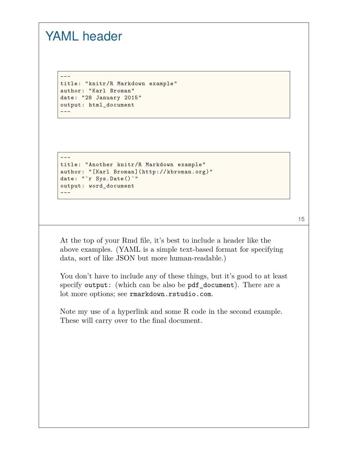## YAML header

---

---

```
title: "knitr/R Markdown example"
author: "Karl Broman"
date: "28 January 2015"
output: html_document
---
```

```
title: "Another knitr/R Markdown example"
author: "[Karl Broman](http://kbroman.org)"
date: "`r Sys.Date()`"
output: word_document
---
```

```
15
```
At the top of your Rmd file, it's best to include a header like the above examples. (YAML is a simple text-based format for specifying data, sort of like JSON but more human-readable.)

You don't have to include any of these things, but it's good to at least specify output: (which can be also be pdf document). There are a lot more options; see rmarkdown.rstudio.com.

Note my use of a hyperlink and some R code in the second example. These will carry over to the final document.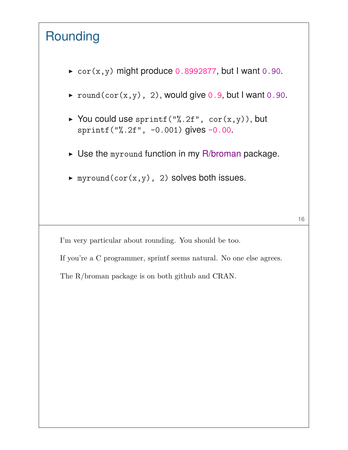# Rounding

- $\triangleright$  cor(x,y) might produce 0.8992877, but I want 0.90.
- $\triangleright$  round(cor(x,y), 2), would give 0.9, but I want 0.90.
- ▶ You could use sprintf("%.2f",  $cor(x,y)$ ), but sprintf("%.2f", -0.001) gives -0.00.
- $\triangleright$  Use the myround function in my R/broman package.

 $\blacktriangleright$  myround(cor(x,y), 2) solves both issues.

I'm very particular about rounding. You should be too.

If you're a C programmer, sprintf seems natural. No one else agrees.

The R/broman package is on both github and CRAN.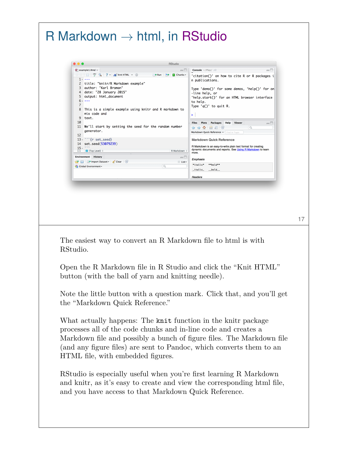| $\bullet\bullet\bullet$<br><b>RStudio</b>                                                                                                                                                                                                                                                                                                                                          |                                                                                                                                        |
|------------------------------------------------------------------------------------------------------------------------------------------------------------------------------------------------------------------------------------------------------------------------------------------------------------------------------------------------------------------------------------|----------------------------------------------------------------------------------------------------------------------------------------|
| $\bullet$ example1.Rmd $\times$<br>$-\square$                                                                                                                                                                                                                                                                                                                                      | <b>Console</b> ~/Play/ $\Rightarrow$<br>$\Box$                                                                                         |
| $\text{C} \oplus \text{C}$ $\text{C}$ $\text{C}$ $\text{C}$ $\text{C}$ $\text{C}$ $\text{C}$ $\text{C}$ $\text{C}$ $\text{C}$ $\text{C}$ $\text{C}$ $\text{C}$ $\text{C}$ $\text{C}$ $\text{C}$ $\text{C}$ $\text{C}$ $\text{C}$ $\text{C}$ $\text{C}$ $\text{C}$ $\text{C}$ $\text{C}$ $\text{C}$ $\text{C}$ $\text{C$<br>$\rightarrow$ Run $\rightarrow$ C Chunks -<br>$1 - - -$ | 'citation()' on how to cite R or R packages i<br>n publications.                                                                       |
| 2 title: "knitr/R Markdown example"<br>3 author: "Karl Broman"                                                                                                                                                                                                                                                                                                                     | Type 'demo()' for some demos, 'help()' for on                                                                                          |
| 4 date: "28 January 2015"<br>5 output: html_document<br>$6 - - -$                                                                                                                                                                                                                                                                                                                  | -line help, or<br>'help.start()' for an HTML browser interface                                                                         |
| $\overline{7}$<br>8 This is a simple example using knitr and R markdown to                                                                                                                                                                                                                                                                                                         | to help.<br>Type $'q()'$ to quit R.                                                                                                    |
| mix code and<br>9<br>text.                                                                                                                                                                                                                                                                                                                                                         | >∶                                                                                                                                     |
| 10<br>11 We'll start by setting the seed for the random number                                                                                                                                                                                                                                                                                                                     | <b>Plots</b><br>Packages Help Viewer<br><b>Files</b><br>$\Box$                                                                         |
| generator.<br>12                                                                                                                                                                                                                                                                                                                                                                   | Q<br>$\Leftrightarrow$ $\Omega$ $\blacksquare$ $\Xi$ $\heartsuit$<br>Markdown Quick Reference v Find in Topi                           |
| $13 \cdot$ " {r set_seed}<br>14 set.seed(53079239)                                                                                                                                                                                                                                                                                                                                 | <b>Markdown Quick Reference</b>                                                                                                        |
| $15 \cdot$ $\cdots$<br>1:1<br>$\Box$ (Top Level) $\hat{=}$<br>R Markdown $\Leftrightarrow$                                                                                                                                                                                                                                                                                         | R Markdown is an easy-to-write plain text format for creating<br>dynamic documents and reports. See Using R Markdown to learn<br>more. |
| <b>Environment</b> History<br>$ -$<br><b>Clear</b> Enterprise Dataset v Clear G<br>$\equiv$ List                                                                                                                                                                                                                                                                                   | <b>Emphasis</b>                                                                                                                        |
| Q<br>Global Environment -                                                                                                                                                                                                                                                                                                                                                          | *italic* **bold**<br>_italic_ __bold__                                                                                                 |
|                                                                                                                                                                                                                                                                                                                                                                                    |                                                                                                                                        |
| The easiest way to convert an R Markdown file to html is with                                                                                                                                                                                                                                                                                                                      | <b>Headers</b>                                                                                                                         |
| RStudio.                                                                                                                                                                                                                                                                                                                                                                           |                                                                                                                                        |
|                                                                                                                                                                                                                                                                                                                                                                                    |                                                                                                                                        |
| Open the R Markdown file in R Studio and click the "Knit HTML"                                                                                                                                                                                                                                                                                                                     |                                                                                                                                        |
| button (with the ball of yarn and knitting needle).                                                                                                                                                                                                                                                                                                                                |                                                                                                                                        |
| Note the little button with a question mark. Click that, and you'll get                                                                                                                                                                                                                                                                                                            |                                                                                                                                        |
| the "Markdown Quick Reference."                                                                                                                                                                                                                                                                                                                                                    |                                                                                                                                        |
|                                                                                                                                                                                                                                                                                                                                                                                    |                                                                                                                                        |
| What actually happens: The knit function in the knitr package                                                                                                                                                                                                                                                                                                                      |                                                                                                                                        |
| processes all of the code chunks and in-line code and creates a                                                                                                                                                                                                                                                                                                                    |                                                                                                                                        |
| Markdown file and possibly a bunch of figure files. The Markdown file                                                                                                                                                                                                                                                                                                              |                                                                                                                                        |
| (and any figure files) are sent to Pandoc, which converts them to an                                                                                                                                                                                                                                                                                                               |                                                                                                                                        |
| HTML file, with embedded figures.                                                                                                                                                                                                                                                                                                                                                  |                                                                                                                                        |
|                                                                                                                                                                                                                                                                                                                                                                                    |                                                                                                                                        |
| RStudio is especially useful when you're first learning R Markdown<br>and knitr, as it's easy to create and view the corresponding html file,                                                                                                                                                                                                                                      |                                                                                                                                        |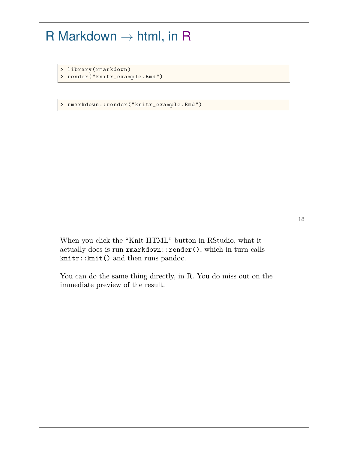$R$  Markdown  $\rightarrow$  html, in R > library(rmarkdown) > render("knitr\_example.Rmd") > rmarkdown::render("knitr\_example.Rmd") 18 When you click the "Knit HTML" button in RStudio, what it actually does is run rmarkdown::render(), which in turn calls knitr::knit() and then runs pandoc. You can do the same thing directly, in R. You do miss out on the immediate preview of the result.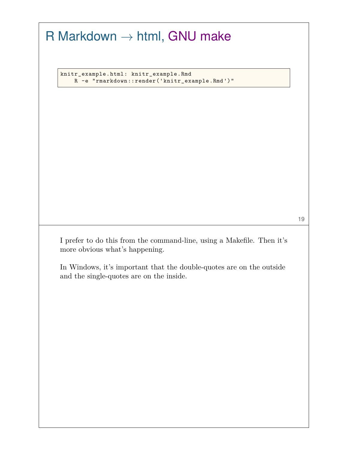|                                | knitr_example.html: knitr_example.Rmd                                                                            |
|--------------------------------|------------------------------------------------------------------------------------------------------------------|
|                                | R -e "rmarkdown::render('knitr_example.Rmd')"                                                                    |
|                                |                                                                                                                  |
|                                |                                                                                                                  |
|                                |                                                                                                                  |
|                                |                                                                                                                  |
|                                |                                                                                                                  |
|                                |                                                                                                                  |
|                                |                                                                                                                  |
|                                |                                                                                                                  |
|                                |                                                                                                                  |
| more obvious what's happening. | I prefer to do this from the command-line, using a Makefile. Then it's                                           |
|                                | In Windows, it's important that the double-quotes are on the outside<br>and the single-quotes are on the inside. |
|                                |                                                                                                                  |
|                                |                                                                                                                  |
|                                |                                                                                                                  |
|                                |                                                                                                                  |
|                                |                                                                                                                  |
|                                |                                                                                                                  |
|                                |                                                                                                                  |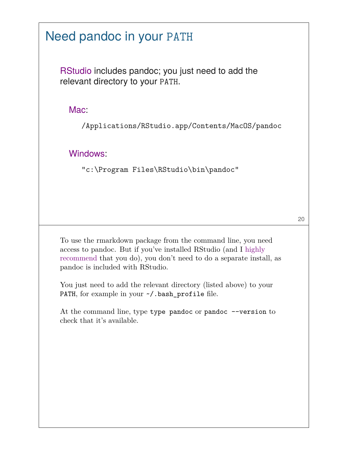## Need pandoc in your PATH

RStudio includes pandoc; you just need to add the relevant directory to your PATH.

Mac:

/Applications/RStudio.app/Contents/MacOS/pandoc

Windows:

"c:\Program Files\RStudio\bin\pandoc"

20

To use the rmarkdown package from the command line, you need access to pandoc. But if you've installed RStudio (and I highly recommend that you do), you don't need to do a separate install, as pandoc is included with RStudio.

You just need to add the relevant directory (listed above) to your PATH, for example in your  $\sim$ /.bash\_profile file.

At the command line, type type pandoc or pandoc  $\neg$ -version to check that it's available.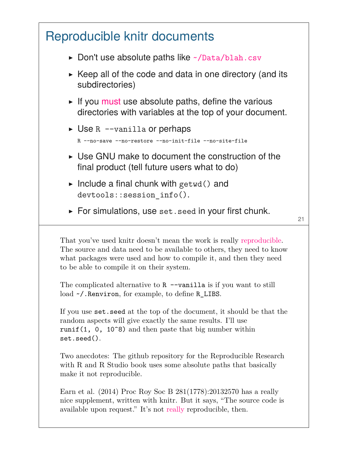![](_page_20_Figure_0.jpeg)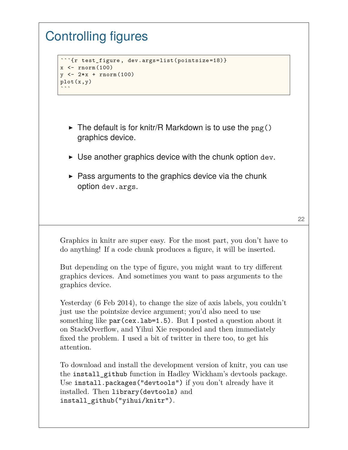# Controlling figures

```
```{r test_figure , dev.args=list(pointsize=18)}
x \leftarrow \text{rnorm}(100)y \le -2*x + \text{norm}(100)plot(x,y)
\ddot{\phantom{0}}
```
- $\triangleright$  The default is for knitr/R Markdown is to use the  $png()$ graphics device.
- $\triangleright$  Use another graphics device with the chunk option dev.
- $\triangleright$  Pass arguments to the graphics device via the chunk option dev.args.

Graphics in knitr are super easy. For the most part, you don't have to do anything! If a code chunk produces a figure, it will be inserted.

But depending on the type of figure, you might want to try different graphics devices. And sometimes you want to pass arguments to the graphics device.

Yesterday (6 Feb 2014), to change the size of axis labels, you couldn't just use the pointsize device argument; you'd also need to use something like par(cex.lab=1.5). But I posted a question about it on StackOverflow, and Yihui Xie responded and then immediately fixed the problem. I used a bit of twitter in there too, to get his attention.

To download and install the development version of knitr, you can use the install\_github function in Hadley Wickham's devtools package. Use install.packages("devtools") if you don't already have it installed. Then library(devtools) and install\_github("yihui/knitr").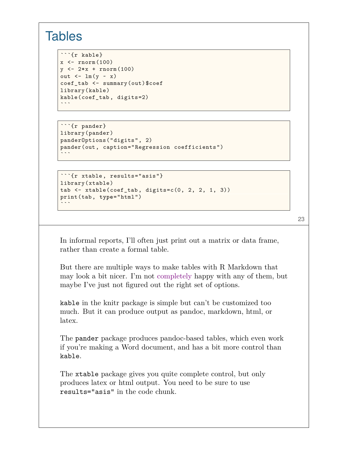#### **Tables**

```
```{r kable}
x \leftarrow \text{rnorm}(100)y \le -2*x + \text{norm}(100)out \leftarrow \text{lm}(y - x)coef_tab <- summary(out)$coef
library(kable)
kable(coef_tab , digits=2)
\ddot{\phantom{0}}
```

```
```{r pander}
library(pander)
panderOptions("digits", 2)
pander(out, caption="Regression coefficients")
\ddot{\phantom{0}}
```

```
```{r xtable, results="asis"}
library(xtable)
tab \leftarrow xtable(coef_tab, digits=c(0, 2, 2, 1, 3))
print(tab, type="html")
\ddot{\phantom{0}}
```
23

In informal reports, I'll often just print out a matrix or data frame, rather than create a formal table.

But there are multiple ways to make tables with R Markdown that may look a bit nicer. I'm not completely happy with any of them, but maybe I've just not figured out the right set of options.

kable in the knitr package is simple but can't be customized too much. But it can produce output as pandoc, markdown, html, or latex.

The pander package produces pandoc-based tables, which even work if you're making a Word document, and has a bit more control than kable.

The xtable package gives you quite complete control, but only produces latex or html output. You need to be sure to use results="asis" in the code chunk.